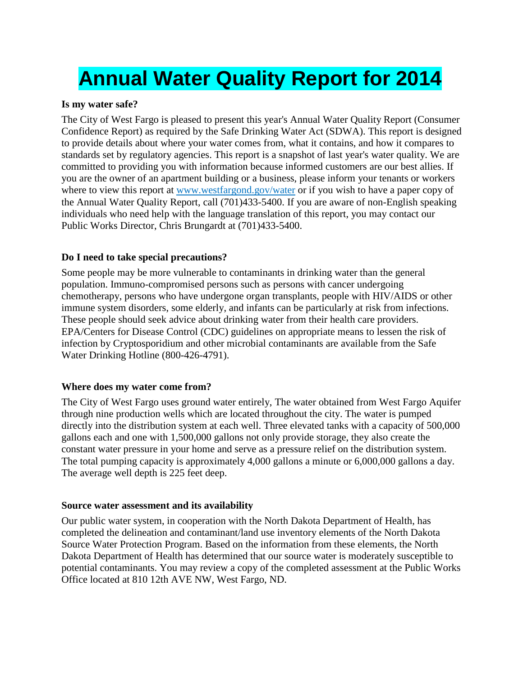# **Annual Water Quality Report for 2014**

#### **Is my water safe?**

The City of West Fargo is pleased to present this year's Annual Water Quality Report (Consumer Confidence Report) as required by the Safe Drinking Water Act (SDWA). This report is designed to provide details about where your water comes from, what it contains, and how it compares to standards set by regulatory agencies. This report is a snapshot of last year's water quality. We are committed to providing you with information because informed customers are our best allies. If you are the owner of an apartment building or a business, please inform your tenants or workers where to view this report at www.westfargond.gov/water or if you wish to have a paper copy of the Annual Water Quality Report, call (701)433-5400. If you are aware of non-English speaking individuals who need help with the language translation of this report, you may contact our Public Works Director, Chris Brungardt at (701)433-5400.

#### **Do I need to take special precautions?**

Some people may be more vulnerable to contaminants in drinking water than the general population. Immuno-compromised persons such as persons with cancer undergoing chemotherapy, persons who have undergone organ transplants, people with HIV/AIDS or other immune system disorders, some elderly, and infants can be particularly at risk from infections. These people should seek advice about drinking water from their health care providers. EPA/Centers for Disease Control (CDC) guidelines on appropriate means to lessen the risk of infection by Cryptosporidium and other microbial contaminants are available from the Safe Water Drinking Hotline (800-426-4791).

#### **Where does my water come from?**

The City of West Fargo uses ground water entirely, The water obtained from West Fargo Aquifer through nine production wells which are located throughout the city. The water is pumped directly into the distribution system at each well. Three elevated tanks with a capacity of 500,000 gallons each and one with 1,500,000 gallons not only provide storage, they also create the constant water pressure in your home and serve as a pressure relief on the distribution system. The total pumping capacity is approximately 4,000 gallons a minute or 6,000,000 gallons a day. The average well depth is 225 feet deep.

#### **Source water assessment and its availability**

Our public water system, in cooperation with the North Dakota Department of Health, has completed the delineation and contaminant/land use inventory elements of the North Dakota Source Water Protection Program. Based on the information from these elements, the North Dakota Department of Health has determined that our source water is moderately susceptible to potential contaminants. You may review a copy of the completed assessment at the Public Works Office located at 810 12th AVE NW, West Fargo, ND.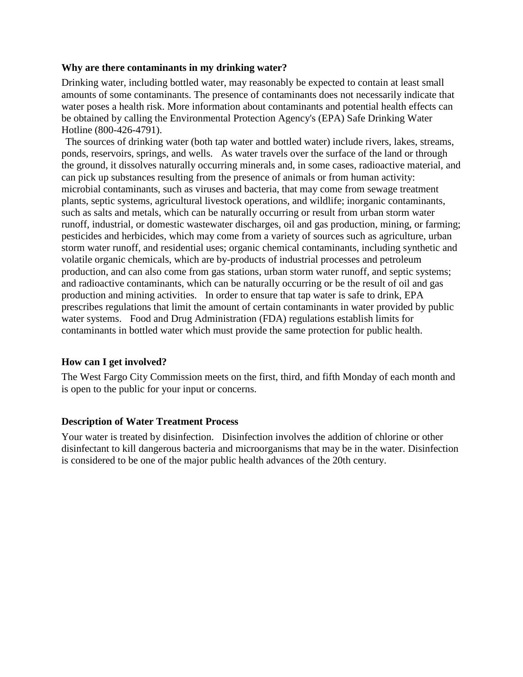#### **Why are there contaminants in my drinking water?**

Drinking water, including bottled water, may reasonably be expected to contain at least small amounts of some contaminants. The presence of contaminants does not necessarily indicate that water poses a health risk. More information about contaminants and potential health effects can be obtained by calling the Environmental Protection Agency's (EPA) Safe Drinking Water Hotline (800-426-4791).

The sources of drinking water (both tap water and bottled water) include rivers, lakes, streams, ponds, reservoirs, springs, and wells. As water travels over the surface of the land or through the ground, it dissolves naturally occurring minerals and, in some cases, radioactive material, and can pick up substances resulting from the presence of animals or from human activity: microbial contaminants, such as viruses and bacteria, that may come from sewage treatment plants, septic systems, agricultural livestock operations, and wildlife; inorganic contaminants, such as salts and metals, which can be naturally occurring or result from urban storm water runoff, industrial, or domestic wastewater discharges, oil and gas production, mining, or farming; pesticides and herbicides, which may come from a variety of sources such as agriculture, urban storm water runoff, and residential uses; organic chemical contaminants, including synthetic and volatile organic chemicals, which are by-products of industrial processes and petroleum production, and can also come from gas stations, urban storm water runoff, and septic systems; and radioactive contaminants, which can be naturally occurring or be the result of oil and gas production and mining activities. In order to ensure that tap water is safe to drink, EPA prescribes regulations that limit the amount of certain contaminants in water provided by public water systems. Food and Drug Administration (FDA) regulations establish limits for contaminants in bottled water which must provide the same protection for public health.

#### **How can I get involved?**

The West Fargo City Commission meets on the first, third, and fifth Monday of each month and is open to the public for your input or concerns.

#### **Description of Water Treatment Process**

Your water is treated by disinfection. Disinfection involves the addition of chlorine or other disinfectant to kill dangerous bacteria and microorganisms that may be in the water. Disinfection is considered to be one of the major public health advances of the 20th century.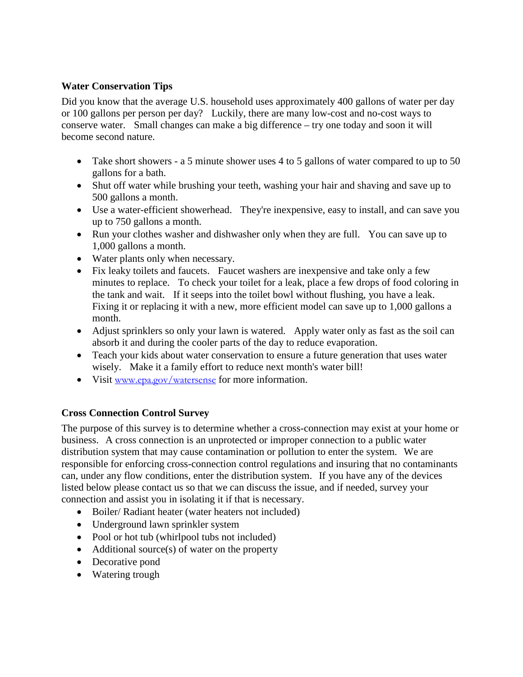#### **Water Conservation Tips**

Did you know that the average U.S. household uses approximately 400 gallons of water per day or 100 gallons per person per day? Luckily, there are many low-cost and no-cost ways to conserve water. Small changes can make a big difference – try one today and soon it will become second nature.

- Take short showers a 5 minute shower uses 4 to 5 gallons of water compared to up to 50 gallons for a bath.
- Shut off water while brushing your teeth, washing your hair and shaving and save up to 500 gallons a month.
- Use a water-efficient showerhead. They're inexpensive, easy to install, and can save you up to 750 gallons a month.
- Run your clothes washer and dishwasher only when they are full. You can save up to 1,000 gallons a month.
- Water plants only when necessary.
- Fix leaky toilets and faucets. Faucet washers are inexpensive and take only a few minutes to replace. To check your toilet for a leak, place a few drops of food coloring in the tank and wait. If it seeps into the toilet bowl without flushing, you have a leak. Fixing it or replacing it with a new, more efficient model can save up to 1,000 gallons a month.
- Adjust sprinklers so only your lawn is watered. Apply water only as fast as the soil can absorb it and during the cooler parts of the day to reduce evaporation.
- Teach your kids about water conservation to ensure a future generation that uses water wisely. Make it a family effort to reduce next month's water bill!
- Visit [www.epa.gov/watersense](http://www.epa.gov/watersense) for more information.

#### **Cross Connection Control Survey**

The purpose of this survey is to determine whether a cross-connection may exist at your home or business. A cross connection is an unprotected or improper connection to a public water distribution system that may cause contamination or pollution to enter the system. We are responsible for enforcing cross-connection control regulations and insuring that no contaminants can, under any flow conditions, enter the distribution system. If you have any of the devices listed below please contact us so that we can discuss the issue, and if needed, survey your connection and assist you in isolating it if that is necessary.

- Boiler/ Radiant heater (water heaters not included)
- Underground lawn sprinkler system
- Pool or hot tub (whirlpool tubs not included)
- Additional source(s) of water on the property
- Decorative pond
- Watering trough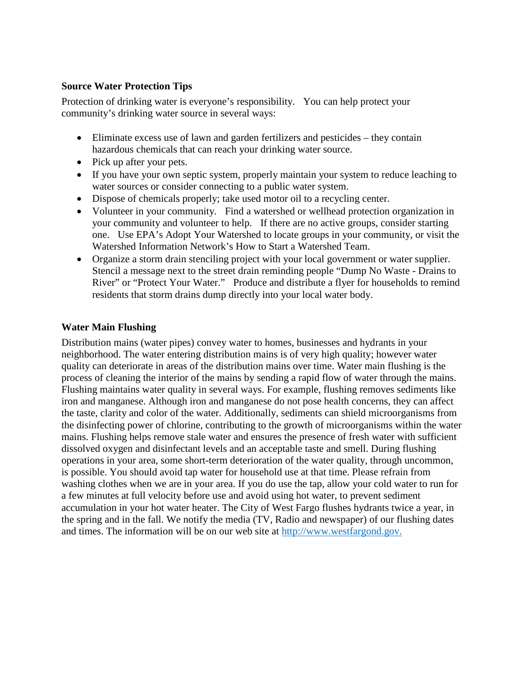#### **Source Water Protection Tips**

Protection of drinking water is everyone's responsibility. You can help protect your community's drinking water source in several ways:

- Eliminate excess use of lawn and garden fertilizers and pesticides they contain hazardous chemicals that can reach your drinking water source.
- Pick up after your pets.
- If you have your own septic system, properly maintain your system to reduce leaching to water sources or consider connecting to a public water system.
- Dispose of chemicals properly; take used motor oil to a recycling center.
- Volunteer in your community. Find a watershed or wellhead protection organization in your community and volunteer to help. If there are no active groups, consider starting one. Use EPA's Adopt Your Watershed to locate groups in your community, or visit the Watershed Information Network's How to Start a Watershed Team.
- Organize a storm drain stenciling project with your local government or water supplier. Stencil a message next to the street drain reminding people "Dump No Waste - Drains to River" or "Protect Your Water." Produce and distribute a flyer for households to remind residents that storm drains dump directly into your local water body.

#### **Water Main Flushing**

Distribution mains (water pipes) convey water to homes, businesses and hydrants in your neighborhood. The water entering distribution mains is of very high quality; however water quality can deteriorate in areas of the distribution mains over time. Water main flushing is the process of cleaning the interior of the mains by sending a rapid flow of water through the mains. Flushing maintains water quality in several ways. For example, flushing removes sediments like iron and manganese. Although iron and manganese do not pose health concerns, they can affect the taste, clarity and color of the water. Additionally, sediments can shield microorganisms from the disinfecting power of chlorine, contributing to the growth of microorganisms within the water mains. Flushing helps remove stale water and ensures the presence of fresh water with sufficient dissolved oxygen and disinfectant levels and an acceptable taste and smell. During flushing operations in your area, some short-term deterioration of the water quality, through uncommon, is possible. You should avoid tap water for household use at that time. Please refrain from washing clothes when we are in your area. If you do use the tap, allow your cold water to run for a few minutes at full velocity before use and avoid using hot water, to prevent sediment accumulation in your hot water heater. The City of West Fargo flushes hydrants twice a year, in the spring and in the fall. We notify the media (TV, Radio and newspaper) of our flushing dates and times. The information will be on our web site at http://www.westfargond.gov.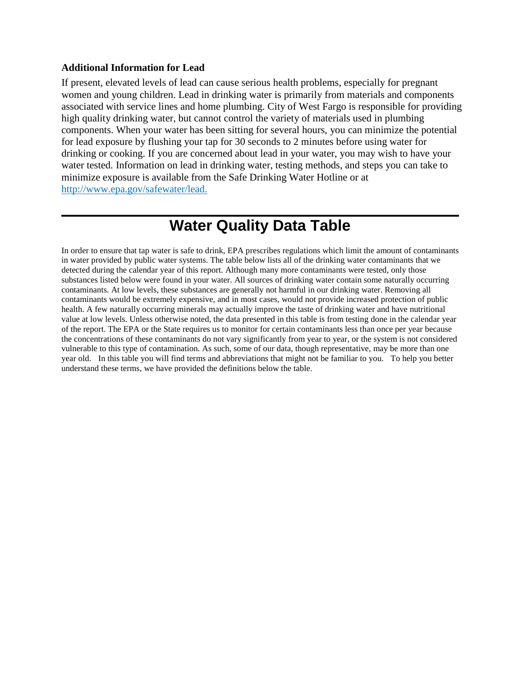#### **Additional Information for Lead**

If present, elevated levels of lead can cause serious health problems, especially for pregnant women and young children. Lead in drinking water is primarily from materials and components associated with service lines and home plumbing. City of West Fargo is responsible for providing high quality drinking water, but cannot control the variety of materials used in plumbing components. When your water has been sitting for several hours, you can minimize the potential for lead exposure by flushing your tap for 30 seconds to 2 minutes before using water for drinking or cooking. If you are concerned about lead in your water, you may wish to have your water tested. Information on lead in drinking water, testing methods, and steps you can take to minimize exposure is available from the Safe Drinking Water Hotline or at http://www.epa.gov/safewater/lead.

## **Water Quality Data Table**

In order to ensure that tap water is safe to drink, EPA prescribes regulations which limit the amount of contaminants in water provided by public water systems. The table below lists all of the drinking water contaminants that we detected during the calendar year of this report. Although many more contaminants were tested, only those substances listed below were found in your water. All sources of drinking water contain some naturally occurring contaminants. At low levels, these substances are generally not harmful in our drinking water. Removing all contaminants would be extremely expensive, and in most cases, would not provide increased protection of public health. A few naturally occurring minerals may actually improve the taste of drinking water and have nutritional value at low levels. Unless otherwise noted, the data presented in this table is from testing done in the calendar year of the report. The EPA or the State requires us to monitor for certain contaminants less than once per year because the concentrations of these contaminants do not vary significantly from year to year, or the system is not considered vulnerable to this type of contamination. As such, some of our data, though representative, may be more than one year old. In this table you will find terms and abbreviations that might not be familiar to you. To help you better understand these terms, we have provided the definitions below the table.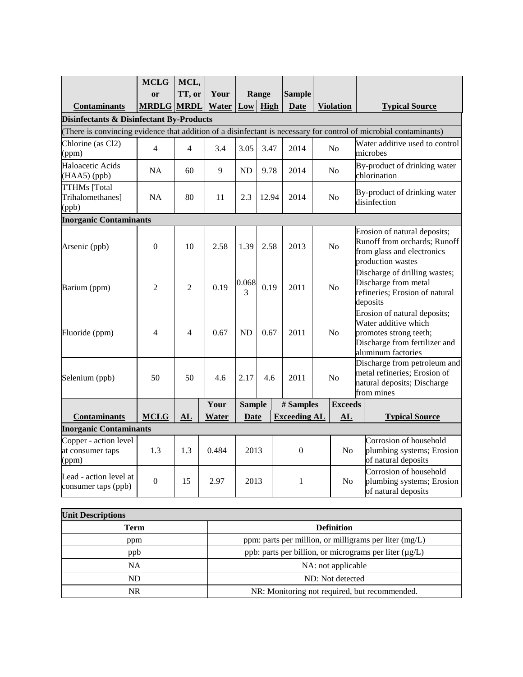|                                                                                                                                                                          | <b>MCLG</b>    | MCL,           |               |               |       |  |                     |                |                  |                                              |                                                                                                                                       |  |
|--------------------------------------------------------------------------------------------------------------------------------------------------------------------------|----------------|----------------|---------------|---------------|-------|--|---------------------|----------------|------------------|----------------------------------------------|---------------------------------------------------------------------------------------------------------------------------------------|--|
|                                                                                                                                                                          | or             | TT, or         | Your<br>Water | $Low$ High    | Range |  | <b>Sample</b>       |                | <b>Violation</b> |                                              |                                                                                                                                       |  |
| <b>Contaminants</b>                                                                                                                                                      | <b>MRDLG</b>   | <b>MRDL</b>    |               |               |       |  | <b>Date</b>         |                |                  |                                              | <b>Typical Source</b>                                                                                                                 |  |
| <b>Disinfectants &amp; Disinfectant By-Products</b><br>(There is convincing evidence that addition of a disinfectant is necessary for control of microbial contaminants) |                |                |               |               |       |  |                     |                |                  |                                              |                                                                                                                                       |  |
| Chlorine (as Cl2)                                                                                                                                                        |                |                |               |               |       |  |                     |                |                  |                                              | Water additive used to control                                                                                                        |  |
| (ppm)                                                                                                                                                                    | $\overline{4}$ | $\overline{4}$ | 3.4           | 3.05          | 3.47  |  | 2014                |                | N <sub>o</sub>   |                                              | microbes                                                                                                                              |  |
| Haloacetic Acids<br>(HAA5) (ppb)                                                                                                                                         | <b>NA</b>      | 60             | 9             | ND            | 9.78  |  | 2014                | No             |                  |                                              | By-product of drinking water<br>chlorination                                                                                          |  |
| <b>TTHMs</b> [Total<br>Trihalomethanes]<br>(ppb)                                                                                                                         | <b>NA</b>      | 80             | 11            | 2.3           | 12.94 |  | 2014                |                | No               | By-product of drinking water<br>disinfection |                                                                                                                                       |  |
| <b>Inorganic Contaminants</b>                                                                                                                                            |                |                |               |               |       |  |                     |                |                  |                                              |                                                                                                                                       |  |
| Arsenic (ppb)                                                                                                                                                            | $\theta$       | 10             | 2.58          | 1.39          | 2.58  |  | 2013                |                | No               |                                              | Erosion of natural deposits;<br>Runoff from orchards; Runoff<br>from glass and electronics<br>production wastes                       |  |
| Barium (ppm)                                                                                                                                                             | $\overline{2}$ | $\overline{2}$ | 0.19          | 0.068<br>3    | 0.19  |  | 2011                | N <sub>o</sub> |                  |                                              | Discharge of drilling wastes;<br>Discharge from metal<br>refineries; Erosion of natural<br>deposits                                   |  |
| Fluoride (ppm)                                                                                                                                                           | 4              | $\overline{4}$ | 0.67          | <b>ND</b>     | 0.67  |  | 2011                | N <sub>o</sub> |                  |                                              | Erosion of natural deposits;<br>Water additive which<br>promotes strong teeth;<br>Discharge from fertilizer and<br>aluminum factories |  |
| Selenium (ppb)                                                                                                                                                           | 50             | 50             | 4.6           | 2.17          | 4.6   |  | 2011                | N <sub>o</sub> |                  |                                              | Discharge from petroleum and<br>metal refineries; Erosion of<br>natural deposits; Discharge<br>from mines                             |  |
|                                                                                                                                                                          |                |                | Your          | <b>Sample</b> |       |  | # Samples           | <b>Exceeds</b> |                  |                                              |                                                                                                                                       |  |
| <b>Contaminants</b>                                                                                                                                                      | <b>MCLG</b>    | AL             | Water         | Date          |       |  | <b>Exceeding AL</b> |                | AL               |                                              | <b>Typical Source</b>                                                                                                                 |  |
| <b>Inorganic Contaminants</b>                                                                                                                                            |                |                |               |               |       |  |                     |                |                  |                                              |                                                                                                                                       |  |
| Copper - action level<br>at consumer taps<br>(ppm)                                                                                                                       | 1.3            | 1.3            | 0.484         | 2013          |       |  | $\Omega$            | N <sub>o</sub> |                  |                                              | Corrosion of household<br>plumbing systems; Erosion<br>of natural deposits                                                            |  |
| Lead - action level at<br>consumer taps (ppb)                                                                                                                            | $\overline{0}$ | 15             | 2.97          |               | 2013  |  | 1                   |                | No               |                                              | Corrosion of household<br>plumbing systems; Erosion<br>of natural deposits                                                            |  |

| <b>Unit Descriptions</b> |                                                        |  |  |  |  |  |  |
|--------------------------|--------------------------------------------------------|--|--|--|--|--|--|
| Term                     | <b>Definition</b>                                      |  |  |  |  |  |  |
| ppm                      | ppm: parts per million, or milligrams per liter (mg/L) |  |  |  |  |  |  |
| ppb                      | ppb: parts per billion, or micrograms per liter (µg/L) |  |  |  |  |  |  |
| <b>NA</b>                | NA: not applicable                                     |  |  |  |  |  |  |
| ND.                      | ND: Not detected                                       |  |  |  |  |  |  |
| NR                       | NR: Monitoring not required, but recommended.          |  |  |  |  |  |  |